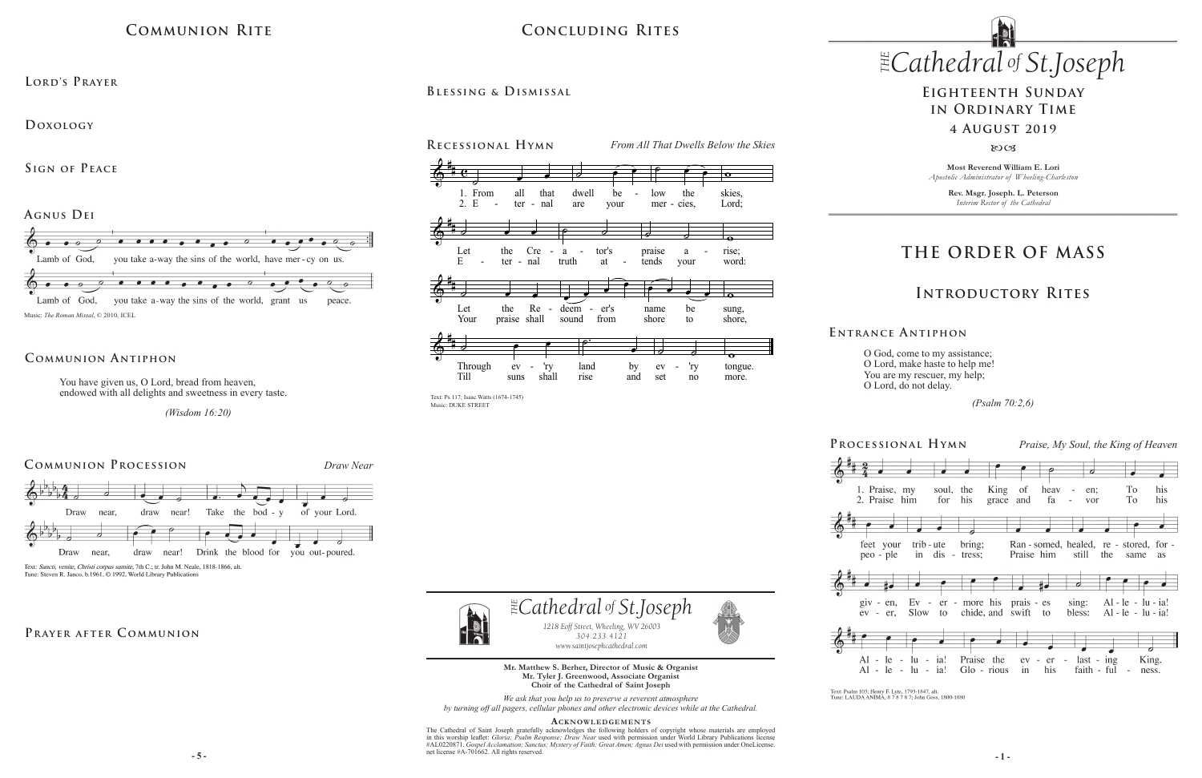# **COMMUNION RITE**

#### $CONCLUDING RITES$ CONCLUDING RITES CONCLUDING RITES by the power of  $\overline{C}$

and do thou, O Prince of the Heavenly Hosts, the Heavenly Hosts, the Heavenly Hosts, the Heavenly Hosts, the H

 $B$ LESSING & **D**ISMISSAL

BLESSING & DISMISSAL

## **THE ORDER OF MASS**

## **Introductory Rites**



Text: Psalm 103; Henry F. Lyte, 1793-1847, alt.<br>Tune: LAUDA ANIMA, 8 7 8 7 8 7; John Goss, 1800-1880

## **Eighteenth Sunday in Ordinary Time 4 August 2019**

#### $80C<sub>3</sub>$

O God, come to my assistance; O Lord, make haste to help me! You are my rescuer, my help; O Lord, do not delay.

 *(Psalm 70:2,6)*

**E ntrance A ntiphon**

**Most Reverend William E. Lori** *Apostolic Administrator of Wheeling-Charleston*

> **Rev. Msgr. Joseph. L. Peterson** *Interim Rector of the Cathedral*

*www.saintjosephcathedral.com*

 $\frac{1}{2}$  **-5** -THE CANOWLEDGEMENTS<br>The Cathedral of Saint Joseph gratefully acknowledges the following holders of copyright whose materials are employed in this worship leaflet: *Gloria; Psalm Response; Draw Near* used with permission under World Library Publications license #AL0220871. Gospel Acclamation; Sanctus; Mystery of Faith; Great Amen; Agnus Dei used with permission under OneLicense. net license #A-701662. All rights reserved.





#### **Communion Antiphon**  $\overline{ABMON}$ 0<sub>N</sub> ON ANTIPHON  $NTI$ NTIPH  $\overline{E}$  $HON$  $\overline{\mathsf{N}}$ 0N  $NTI$  $\mathbf{F}$ MUNION ANTIPHON ion Antiphon

**Agnus Dei i N t ro i t**

**Doxology**  *4:30* Prelude and Fugue in F-sharp minor, BuxWV 146 Dieterich Buxtehude

 $S$ **IGN OF PEACE** 

**Lord's Prayer** *10:30 (1685-1750) 12:00 5:15* Schmücke dich, o liebe Seele, BWV 654 Johann Sebastian Bach **9:00** CRATER *4:30* Prelude and Fugue in F-sharp minor, BuxWV 146 Dieterich Buxtehude

*Free and open to the public*

 $\frac{1}{2}$ 

304.233.4121

We ask that you help us to preserve a reverent atmosphere by turning off all pagers, cellular phones and other electronic devices while at the Cathedral.

#### ACKNOWLEDGEMENTS



You have given us, O Lord, bread from heaven, endowed with all delights and sweetness in every taste.  $\mathcal{X}$  be  $\mathcal{Y}$ praise  $\lim_{n \to \infty}$  $\mathbf{r}$  $\frac{1}{2}$  $\frac{1}{1}$ i, t  $\mathbf{L}$  $\mathfrak{a}$  iro. Praise  $ve$ endowed with all delights and sweetness in every taste.  $\frac{1}{t}$  broad from boover MUNION ANTIPHON<br>You have given us, O Lord, bread from heaven, have given us, O Lord, bread from heaven,<br>wed with all delights and aviatings in available wed with all delights and sweetness in every taste bi - - - - -

*(Wisdom 16:20)*  $(W - W)$  $(m \text{ sum } 10.20)$  $\bar{W}$ lantar<br>1 n 16  $\cdots$  $(Wisdom 16:20)$  $\binom{n \text{ row} \cdot \text{min}}{n}$ 



**Mr. Matthew S. Berher, Director of Music & Organist** Mr. Matthew 5. Berner, Director of Music & Organist<br>Mr. Tyler J. Greenwood, Associate Organist **Choir of the Cathedral of Saint Joseph** <u>August 1999 – August 1999 – August 1999 – August 1999 – August 1999 – August 1999 – August 1999 – August 1999 </u>



Music: DUKE STREET  $\left( \begin{array}{c} \n\sqrt{2} & \sqrt{2} \\
\sqrt{2} & \sqrt{2} \\
\sqrt{2} & \sqrt{2}\n\end{array} \right)$  $7;$  Isaa fill Text: Ps 117; Isaac Watts (1674-1745)



heta, 6 1992, World Library Publications Thristi co The tau or pus sumite, 7th C.; tr. John M. Neale, 1818-1866, alt s sumite, 7th C.; tr. John Neale, 1818-1866, alt.

## PRAYER AFTER COMMUNION



Al